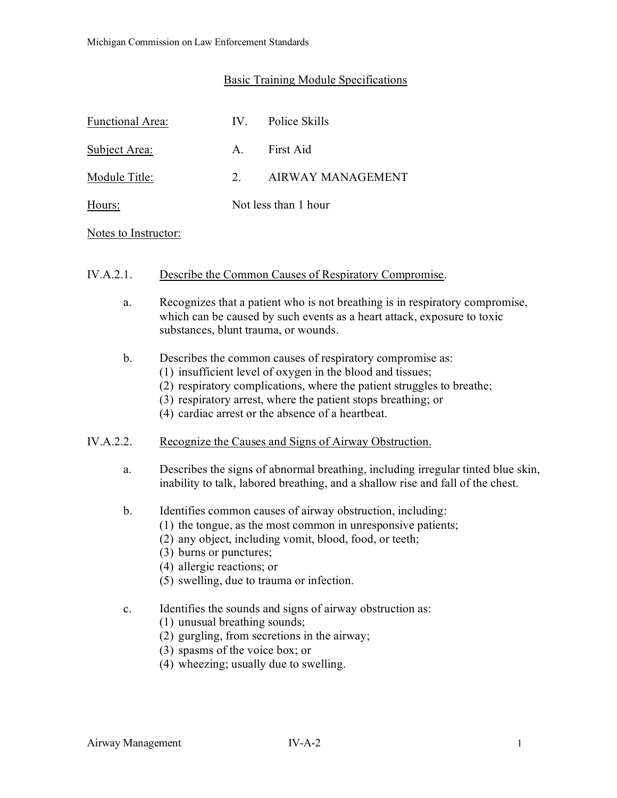# Basic Training Module Specifications

| <b>Functional Area:</b> | IV            | Police Skills        |
|-------------------------|---------------|----------------------|
| Subject Area:           | $A_{\cdot}$   | First Aid            |
| Module Title:           | $\mathcal{D}$ | AIRWAY MANAGEMENT    |
| Hours:                  |               | Not less than 1 hour |

#### Notes to Instructor:

#### IV.A.2.1. Describe the Common Causes of Respiratory Compromise.

a. Recognizes that a patient who is not breathing is in respiratory compromise, which can be caused by such events as a heart attack, exposure to toxic substances, blunt trauma, or wounds.

## b. Describes the common causes of respiratory compromise as:

- (1) insufficient level of oxygen in the blood and tissues;
- (2) respiratory complications, where the patient struggles to breathe;
- (3) respiratory arrest, where the patient stops breathing; or
- (4) cardiac arrest or the absence of a heartbeat.

#### IV.A.2.2. Recognize the Causes and Signs of Airway Obstruction.

- a. Describes the signs of abnormal breathing, including irregular tinted blue skin, inability to talk, labored breathing, and a shallow rise and fall of the chest.
- b. Identifies common causes of airway obstruction, including:
	- (1) the tongue, as the most common in unresponsive patients;
	- (2) any object, including vomit, blood, food, or teeth;
	- (3) burns or punctures;
	- (4) allergic reactions; or
	- (5) swelling, due to trauma or infection.
- c. Identifies the sounds and signs of airway obstruction as:
	- (1) unusual breathing sounds;
	- (2) gurgling, from secretions in the airway;
	- (3) spasms of the voice box; or
	- (4) wheezing; usually due to swelling.